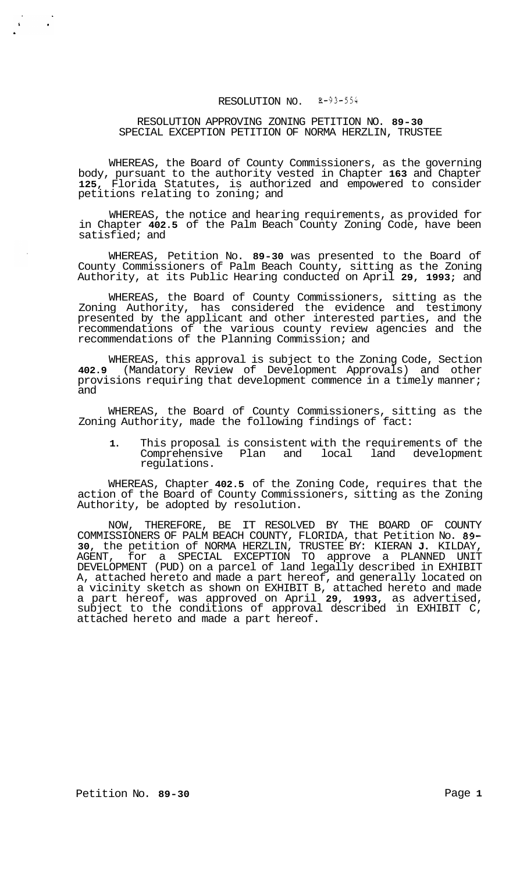# RESOLUTION NO. *3-93-554*

## RESOLUTION APPROVING ZONING PETITION NO. **89-30**  SPECIAL EXCEPTION PETITION OF NORMA HERZLIN, TRUSTEE

WHEREAS, the Board of County Commissioners, as the governing body, pursuant to the authority vested in Chapter **163** and Chapter **125,** Florida Statutes, is authorized and empowered to consider petitions relating to zoning; and

WHEREAS, the notice and hearing requirements, as provided for in Chapter **402.5** of the Palm Beach County Zoning Code, have been satisfied; and

WHEREAS, Petition No. **89-30** was presented to the Board of County Commissioners of Palm Beach County, sitting as the Zoning Authority, at its Public Hearing conducted on April **29, 1993;** and

WHEREAS, the Board of County Commissioners, sitting as the Zoning Authority, has considered the evidence and testimony presented by the applicant and other interested parties, and the recommendations of the various county review agencies and the recommendations of the Planning Commission; and

WHEREAS, this approval is subject to the Zoning Code, Section **402.9** (Mandatory Review of Development Approvals) and other provisions requiring that development commence in a timely manner; and

WHEREAS, the Board of County Commissioners, sitting as the Zoning Authority, made the following findings of fact:

**1.** This proposal is consistent with the requirements of the Comprehensive Plan and local land development regulations.

WHEREAS, Chapter **402.5** of the Zoning Code, requires that the action of the Board of County Commissioners, sitting as the Zoning Authority, be adopted by resolution.

NOW, THEREFORE, BE IT RESOLVED BY THE BOARD OF COUNTY COMMISSIONERS OF PALM BEACH COUNTY, FLORIDA, that Petition No. **89- 30,** the petition of NORMA HERZLIN, TRUSTEE BY: KIERAN **J.** KILDAY, AGENT, for a SPECIAL EXCEPTION TO approve a PLANNED UNIT DEVELOPMENT (PUD) on a parcel of land legally described in EXHIBIT A, attached hereto and made a part hereof, and generally located on a vicinity sketch as shown on EXHIBIT B, attached hereto and made a part hereof, was approved on April **29, 1993,** as advertised, subject to the conditions of approval described in EXHIBIT C, attached hereto and made a part hereof.

 $\mathbf{A}^{\left(1\right)}$  and  $\mathbf{A}^{\left(2\right)}$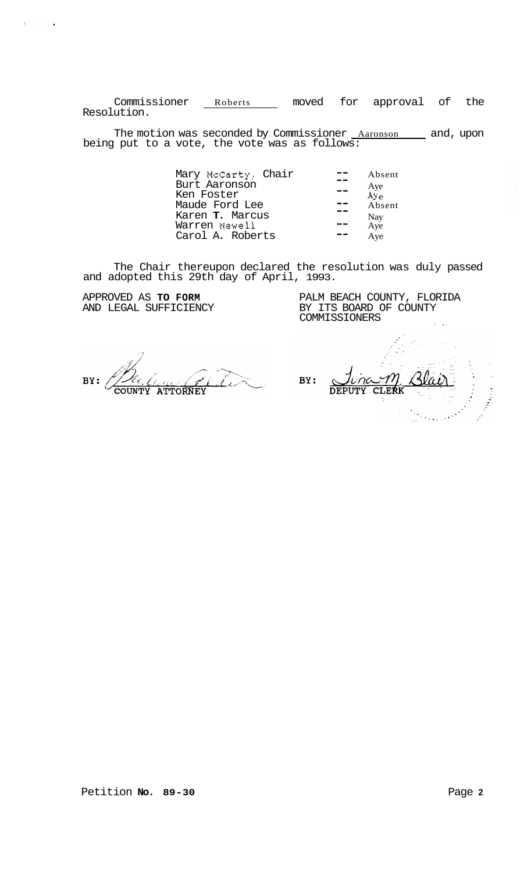Commissioner Roberts moved for approval of the Resolution.

The motion was seconded by Commissioner <u>Aaronson and</u>, upon being put to a vote, the vote was as follows:

| Mary McCarty, Chair | Absent       |
|---------------------|--------------|
| Burt Aaronson       |              |
| --                  | Aye          |
| Ken Foster          | $A\bar{y}_e$ |
| Maude Ford Lee      | Absent       |
| Karen T. Marcus     | Nay          |
| Warren Newell       | Aye          |
| Carol A. Roberts    | Aye          |

The Chair thereupon declared the resolution was duly passed and adopted this 29th day of April, 1993.

APPROVED AS **TO FORM**  AND LEGAL SUFFICIENCY

 $\bar{t}$ 

 $\bullet$ 

PALM BEACH COUNTY, FLORIDA BY ITS BOARD OF COUNTY COMMISSIONERS

BY: COUNTY ATTORNEY

BY: CLERK **DEPUTY**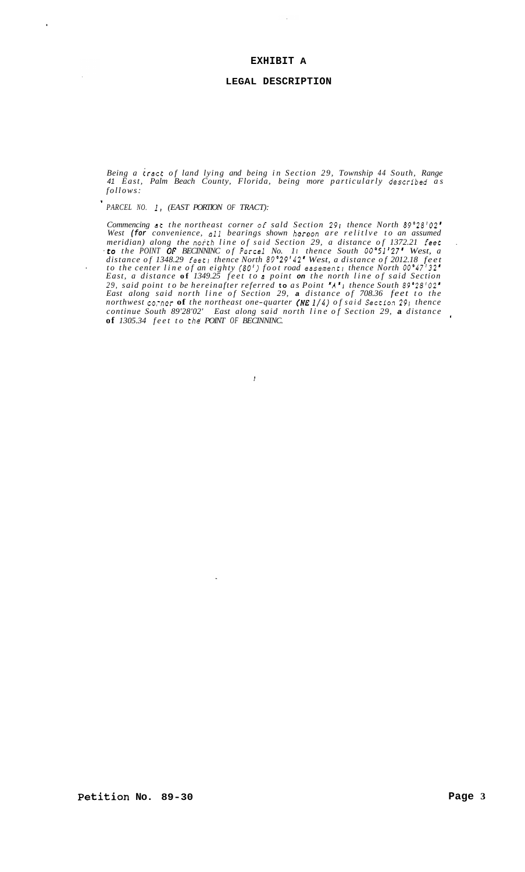## **EXHIBIT A**

 $\bar{z}$ 

#### **LEGAL DESCRIPTION**

*Being a tract of land lying and being in Section 29, Township 44 South, Range 41 East, Palm Beach County, Florida, being more particularly descrlbed as follows:* 

' *PARCEL NO. 1, (EAST PORTION OF TRACT):* 

,

*Commencing at the northeast corner of sald Section 291 thence North 89'28'02' West (for convenience, all bearings shown hereon are relitlve to an assumed meridian) along the north line of said Section 29, a distance of 1372.21 feec* . *.to the POINT OF BECINNINC of Parcel No. 1 I thence South OO"51'27' West, a distance of 1348.29 feet! thence North 89'29'42' West, a distance of 2012.18 feet to the center line of an eighty (80') foot road easement; thence North 00°47'32 East, a distance* **of** *1349.25 feet to a point on the north line of said Section 29, said point to be hereinafter referred* **to** *as Point 'A'J thence South 89'28'02' East along said north line of Section 29, a distance of 708.36 feet to the northwest co-ncr* **of** *the northeast one-quarter (NE 114) of said Sectlo.? 29r thence continue South 89'28'02' East along said north line of Section 29, a distance* <sup>~</sup> **of** *1305.34 feet to the POINT OF BECINNINC.* 

 $\overline{t}$ 

 $\ddot{\phantom{a}}$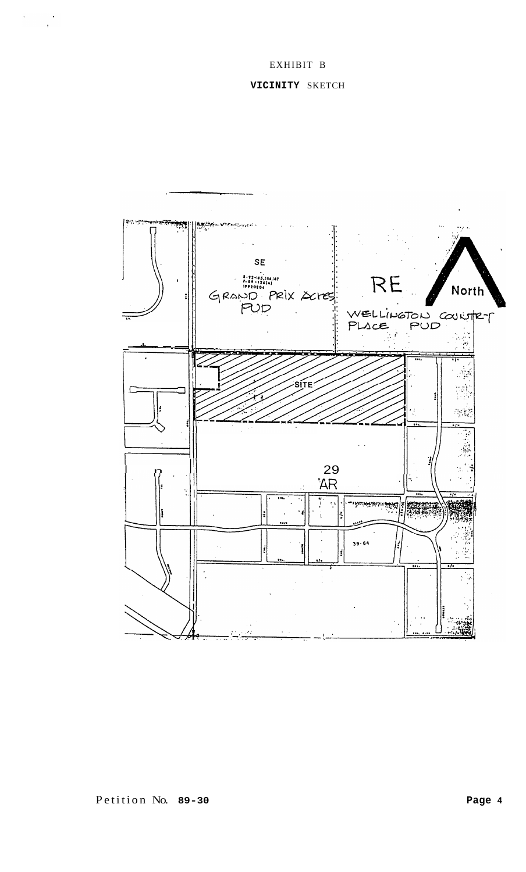# EXHIBIT B

# **VICINITY** SKETCH

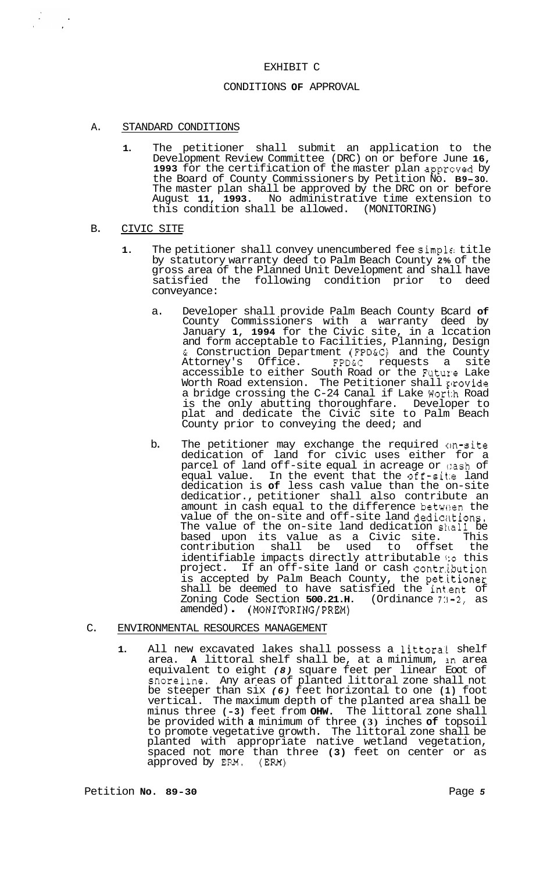#### EXHIBIT C

#### CONDITIONS **OF** APPROVAL

#### A. STANDARD CONDITIONS

**1.** The petitioner shall submit an application to the Development Review Committee (DRC) on or before June **16, 1993** for the certification of the master plan apprcved by the Board of County Commissioners by Petition No. **B9-30.**  The master plan shall be approved by the DRC on or before August **11, 1993.** No administrative time extension to this condition shall be allowed. (MONITORING)

#### B. CIVIC SITE

 $\frac{1}{2}$ 

- **1.** The petitioner shall convey unencumbered fee simple: title by statutory warranty deed to Palm Beach County **2%** of the gross area of the Planned Unit Development and shall have<br>satisfied the following condition prior to deed satisfied the following condition prior to conveyance:
	- a. Developer shall provide Palm Beach County Bcard **of**  County Commissioners with a warranty deed by January **1, 1994** for the Civic site, in a lccation and form acceptable to Facilities, Planning, Design & Construction Department (FPD&C) and the County Attorney's Office. FPD&C requests a site Attorney's Office. FPD&C requests a site<br>accessible to either South Road or the Future Lake Worth Road extension. The Petitioner shall provide a bridge crossing the C-24 Canal if Lake Wort:h Road is the only abutting thoroughfare. Developer to plat and dedicate the Civic site to Palm Beach County prior to conveying the deed; and
	- b. The petitioner may exchange the required cm-site dedication of land for civic uses either for a parcel of land off-site equal in acreage or  $\mathfrak v$ ash of equal value. In the event that the off-site land dedication is **of** less cash value than the on-site dedicatior., petitioner shall also contribute an amount in cash equal to the difference between the value of the on-site and off-site land dediaktions. The value of the on-site land dedication skall be based upon its value as a Civic site. This<br>contribution shall be used to offset the contribution shall identifiable impacts directly attributable **1:o** this project. If an off-site land or cash contr.ibution is accepted by Palm Beach County, the pet.itioner shall be deemed to have satisfied the int.ent of Zoning Code Section **500.21.H.** (Ordinance 7:1-2, as amended) . (MONITORING/PREM)

### C. ENVIRONMENTAL RESOURCES MANAGEMENT

1. All new excavated lakes shall possess a littoral shelf area. **A** littoral shelf shall be, at a minimum, sn area equivalent to eight *(8)* square feet per linear Eoot of snorellne. Any areas of planted littoral zone shall not be steeper than six *(6)* feet horizontal to one **(1)** foot vertical. The maximum depth of the planted area shall be minus three **(-3)** feet from **OHW.** The littoral zone shall be provided with **a** minimum of three **(3)** inches **of** topsoil to promote vegetative growth. The littoral zone shall be planted with appropriate native wetland vegetation, spaced not more than three **(3)** feet on center or as approved by ERM. (ERM)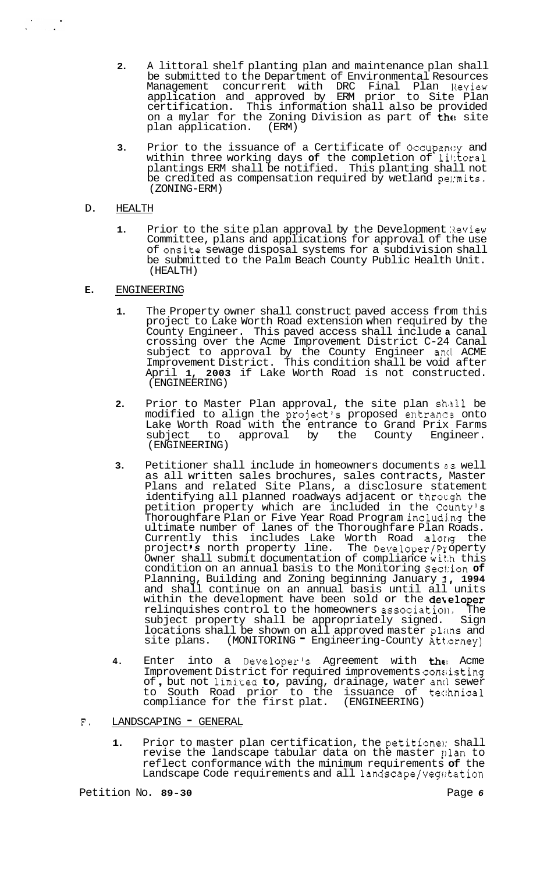- **2.** A littoral shelf planting plan and maintenance plan shall be submitted to the Department of Environmental Resources Management concurrent with DRC Final Plan Review application and approved by ERM prior to Site Plan certification. This information shall also be provided on a mylar for the Zoning Division as part of the site<br>plan application. (ERM) plan application.
- **3.** Prior to the issuance of a Certificate of Occupancy and within three working days of the completion of littoral plantings ERM shall be notified. This planting shall not be credited as compensation required by wetland permits. (ZONING-ERM)
- D. HEALTH

 $\begin{array}{ccc}\n\ddots & \ddots & \ddots\n\end{array}$ 

- **1.** Prior to the site plan approval by the Development Review Committee, plans and applications for approval of the use of onsite sewage disposal systems for a subdivision shall be submitted to the Palm Beach County Public Health Unit. (HEALTH)
- **E.** ENGINEERING
	- **1.** The Property owner shall construct paved access from this project to Lake Worth Road extension when required by the County Engineer. This paved access shall include **a** canal crossing over the Acme Improvement District C-24 Canal subject to approval by the County Engineer and ACME Improvement District. This condition shall be void after April **1, 2003** if Lake Worth Road is not constructed. (ENGINEERING)
	- 2. Prior to Master Plan approval, the site plan shall be modified to align the project's proposed entranca onto Lake Worth Road with the entrance to Grand Prix Farms subject to approval by the County Engineer. (ENGINEERING)
	- **3.** Petitioner shall include in homeowners documents *BS* well as all written sales brochures, sales contracts, Master Plans and related Site Plans, a disclosure statement identifying all planned roadways adjacent or through the petition property which are included in the Ccunty's Thoroughfare Plan or Five Year Road Program includj.ng the ultimate number of lanes of the Thoroughfare Plan Roads. Currently this includes Lake Worth Road alorlg the project *s* north property line. The Developer/Pr operty Owner shall submit documentation of compliance wit.h this condition on an annual basis to the Monitoring Sec1:ion **of**  Planning, Building and Zoning beginning January **I, 1994**  and shall continue on an annual basis until all units within the development have been sold or the **developer** relinquishes control to the homeowners associatioll. The subject property shall be appropriately signed. Sign locations shall be shown on all approved master plans and site plans. (MONITORING - Engineering-County Attorney)
	- 4. Enter into a Developer's Agreement with the Acme Improvement District for required improvements consiisting Improvement District for required improvements consisting<br>of, but not limited **to**, paving, drainage, water and sewer to South Road prior to the issuance of tec:hnical compliance for the first plat. (ENGINEERING)
- F. LANDSCAPING GENERAL
	- **1.** Prior to master plan certification, the petitionel: shall revise the landscape tabular data on the master plan to reflect conformance with the minimum requirements **of** the Landscape Code requirements and all landscape/vegatation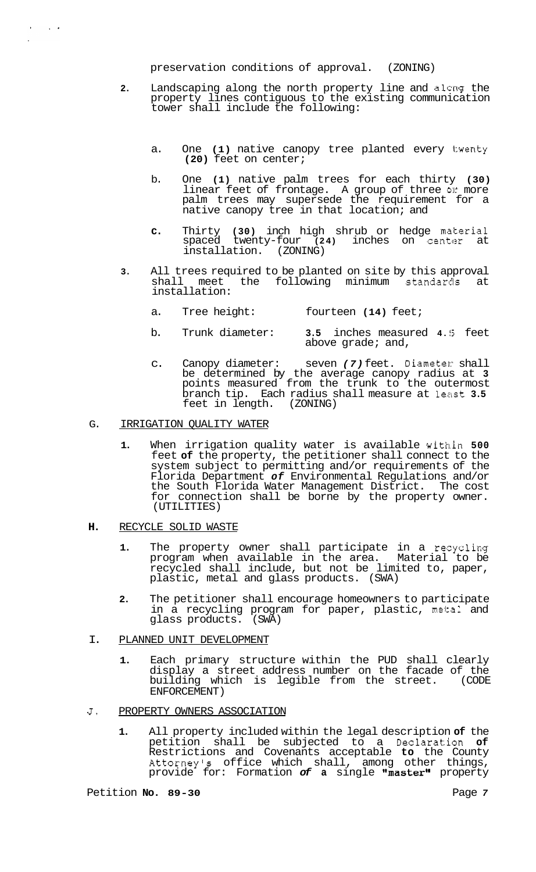preservation conditions of approval. (ZONING)

- **2.** Landscaping along the north property line and along the property lines contiguous to the existing communication tower shall include the following:
	- a. One **(1)** native canopy tree planted every twenty **(20)** feet on center;
	- b. One **(1)** native palm trees for each thirty **(30)**  linear feet of frontage. A group of three **or** more palm trees may supersede the requirement for a native canopy tree in that location; and
	- **c.** Thirty (30) inch high shrub or hedge material spaced twenty-four (24) inches on center at installation. (ZONING)
- **3.** All trees required to be planted on site by this approval<br>shall meet the following minimum standards at the following minimum standards installation:
	- a. Tree height: fourteen **(14)** feet;
	- b. Trunk diameter: **3.5** inches measured **4. !5** feet above grade; and,
	- c. Canopy diameter: seven *(7)* feet. Diameter: shall be determined by the average canopy radius at **3**  points measured from the trunk to the outermost branch tip. Each radius shall measure at least **3.5**  feet in length. (ZONING)

## G. IRRIGATION QUALITY WATER

 $\lambda$  and  $\lambda$ 

- **1.** When irrigation quality water is available within **500**  feet **of** the property, the petitioner shall connect to the system subject to permitting and/or requirements of the Florida Department *of* Environmental Regulations and/or the South Florida Water Management District. The cost for connection shall be borne by the property owner. (UTILITIES)
- **H.** RECYCLE SOLID WASTE
	- 1. The property owner shall participate in a recycling program when available in the area. Material to be recycled shall include, but not be limited to, paper, plastic, metal and glass products. (SWA)
	- **2.** The petitioner shall encourage homeowners to participate in a recycling program for paper, plastic, metal and glass products. (SWA)
- I. PLANNED UNIT DEVELOPMENT
	- **1.** Each primary structure within the PUD shall clearly display a street address number on the facade of the building which is legible from the street. (CODE ENFORCEMENT)
- **J.** PROPERTY OWNERS ASSOCIATION
	- **1.** All property included within the legal description **of** the petition shall be subjected to a Declaration **of**  Restrictions and Covenants acceptable **to** the County Attorney's office which shall, among other things, provide for: Formation **of a** single "master" property